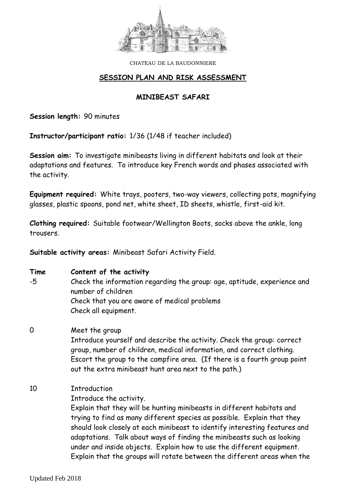

## **SESSION PLAN AND RISK ASSESSMENT**

## **MINIBEAST SAFARI**

**Session length:** 90 minutes

**Instructor/participant ratio:** 1/36 (1/48 if teacher included)

**Session aim:** To investigate minibeasts living in different habitats and look at their adaptations and features. To introduce key French words and phases associated with the activity.

**Equipment required:** White trays, pooters, two-way viewers, collecting pots, magnifying glasses, plastic spoons, pond net, white sheet, ID sheets, whistle, first-aid kit.

**Clothing required:** Suitable footwear/Wellington Boots, socks above the ankle, long trousers.

**Suitable activity areas:** Minibeast Safari Activity Field.

| Time        | Content of the activity                                                                                                                                                                                                                                                                                                                                                            |  |  |  |  |  |  |
|-------------|------------------------------------------------------------------------------------------------------------------------------------------------------------------------------------------------------------------------------------------------------------------------------------------------------------------------------------------------------------------------------------|--|--|--|--|--|--|
| -5          | Check the information regarding the group: age, aptitude, experience and<br>number of children                                                                                                                                                                                                                                                                                     |  |  |  |  |  |  |
|             | Check that you are aware of medical problems                                                                                                                                                                                                                                                                                                                                       |  |  |  |  |  |  |
|             | Check all equipment.                                                                                                                                                                                                                                                                                                                                                               |  |  |  |  |  |  |
| $\mathbf 0$ | Meet the group                                                                                                                                                                                                                                                                                                                                                                     |  |  |  |  |  |  |
|             | Introduce yourself and describe the activity. Check the group: correct<br>group, number of children, medical information, and correct clothing.<br>Escort the group to the campfire area. (If there is a fourth group point                                                                                                                                                        |  |  |  |  |  |  |
|             | out the extra minibeast hunt area next to the path.)                                                                                                                                                                                                                                                                                                                               |  |  |  |  |  |  |
| 10          | <b>Introduction</b>                                                                                                                                                                                                                                                                                                                                                                |  |  |  |  |  |  |
|             | Introduce the activity.                                                                                                                                                                                                                                                                                                                                                            |  |  |  |  |  |  |
|             | Explain that they will be hunting minibeasts in different habitats and<br>trying to find as many different species as possible. Explain that they<br>should look closely at each minibeast to identify interesting features and<br>adaptations. Talk about ways of finding the minibeasts such as looking<br>under and inside objects. Explain how to use the different equipment. |  |  |  |  |  |  |
|             | Explain that the groups will rotate between the different areas when the                                                                                                                                                                                                                                                                                                           |  |  |  |  |  |  |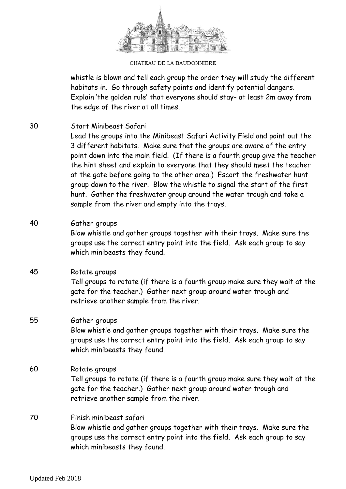

CHATEAU DE LA BAUDONNIERE

whistle is blown and tell each group the order they will study the different habitats in. Go through safety points and identify potential dangers. Explain 'the golden rule' that everyone should stay- at least 2m away from the edge of the river at all times.

30 Start Minibeast Safari

Lead the groups into the Minibeast Safari Activity Field and point out the 3 different habitats. Make sure that the groups are aware of the entry point down into the main field. (If there is a fourth group give the teacher the hint sheet and explain to everyone that they should meet the teacher at the gate before going to the other area.) Escort the freshwater hunt group down to the river. Blow the whistle to signal the start of the first hunt. Gather the freshwater group around the water trough and take a sample from the river and empty into the trays.

# 40 Gather groups

Blow whistle and gather groups together with their trays. Make sure the groups use the correct entry point into the field. Ask each group to say which minibeasts they found.

#### 45 Rotate groups

Tell groups to rotate (if there is a fourth group make sure they wait at the gate for the teacher.) Gather next group around water trough and retrieve another sample from the river.

## 55 Gather groups

Blow whistle and gather groups together with their trays. Make sure the groups use the correct entry point into the field. Ask each group to say which minibeasts they found.

#### 60 Rotate groups

Tell groups to rotate (if there is a fourth group make sure they wait at the gate for the teacher.) Gather next group around water trough and retrieve another sample from the river.

## 70 Finish minibeast safari Blow whistle and gather groups together with their trays. Make sure the groups use the correct entry point into the field. Ask each group to say which minibeasts they found.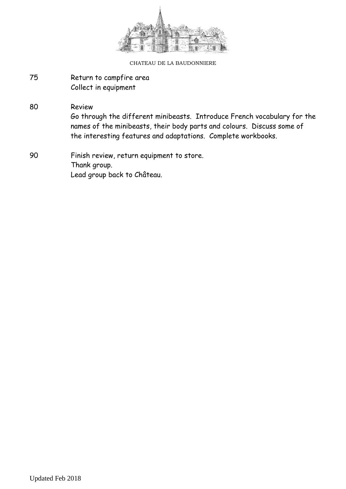

- 75 Return to campfire area Collect in equipment
- 80 Review Go through the different minibeasts. Introduce French vocabulary for the names of the minibeasts, their body parts and colours. Discuss some of the interesting features and adaptations. Complete workbooks.
- 90 Finish review, return equipment to store. Thank group. Lead group back to Château.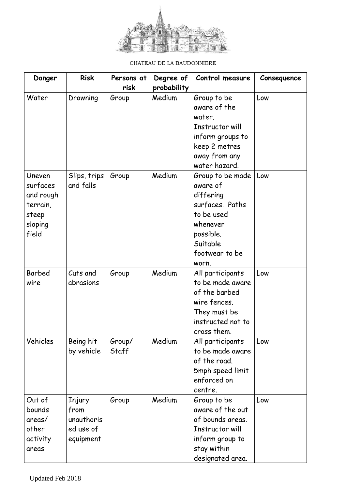

| Danger    | <b>Risk</b>  | Persons at | Degree of   | Control measure   | Consequence |
|-----------|--------------|------------|-------------|-------------------|-------------|
|           |              | risk       | probability |                   |             |
| Water     | Drowning     | Group      | Medium      | Group to be       | Low         |
|           |              |            |             | aware of the      |             |
|           |              |            |             | water.            |             |
|           |              |            |             | Instructor will   |             |
|           |              |            |             | inform groups to  |             |
|           |              |            |             | keep 2 metres     |             |
|           |              |            |             | away from any     |             |
|           |              |            |             | water hazard.     |             |
| Uneven    | Slips, trips | Group      | Medium      | Group to be made  | Low         |
| surfaces  | and falls    |            |             | aware of          |             |
| and rough |              |            |             | differing         |             |
| terrain,  |              |            |             | surfaces. Paths   |             |
| steep     |              |            |             | to be used        |             |
| sloping   |              |            |             | whenever          |             |
| field     |              |            |             | possible.         |             |
|           |              |            |             | Suitable          |             |
|           |              |            |             | footwear to be    |             |
|           |              |            |             | worn.             |             |
| Barbed    | Cuts and     | Group      | Medium      | All participants  | Low         |
| wire      | abrasions    |            |             | to be made aware  |             |
|           |              |            |             | of the barbed     |             |
|           |              |            |             | wire fences.      |             |
|           |              |            |             | They must be      |             |
|           |              |            |             | instructed not to |             |
|           |              |            |             | cross them.       |             |
| Vehicles  | Being hit    | Group/     | Medium      | All participants  | Low         |
|           | by vehicle   | Staff      |             | to be made aware  |             |
|           |              |            |             | of the road.      |             |
|           |              |            |             | 5mph speed limit  |             |
|           |              |            |             | enforced on       |             |
|           |              |            |             | centre.           |             |
| Out of    | Injury       | Group      | Medium      | Group to be       | Low         |
| bounds    | from         |            |             | aware of the out  |             |
| areas/    | unauthoris   |            |             | of bounds areas.  |             |
| other     | ed use of    |            |             | Instructor will   |             |
| activity  | equipment    |            |             | inform group to   |             |
| areas     |              |            |             | stay within       |             |
|           |              |            |             | designated area.  |             |